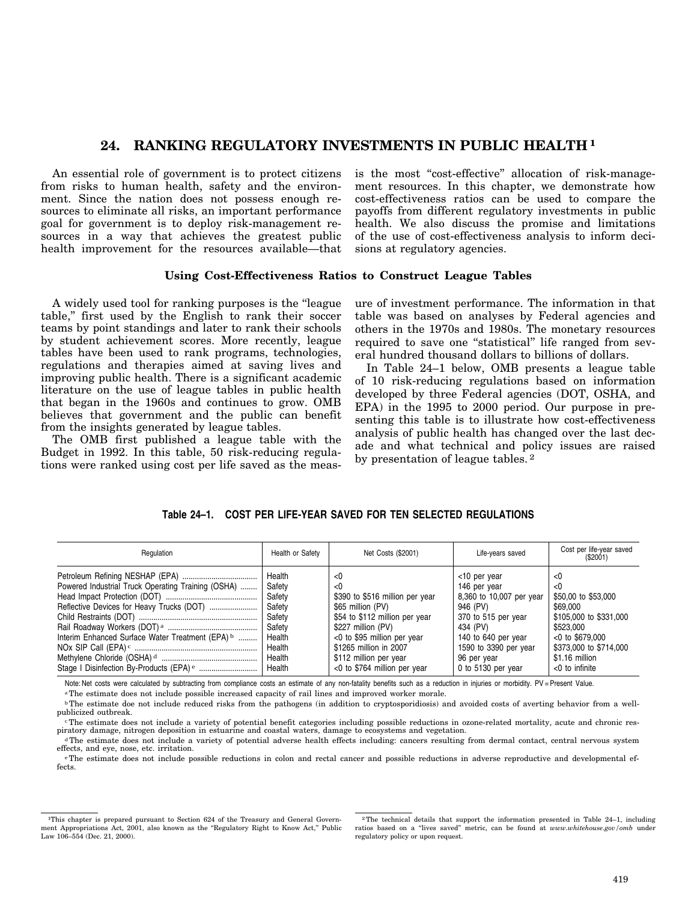# **24. RANKING REGULATORY INVESTMENTS IN PUBLIC HEALTH 1**

An essential role of government is to protect citizens from risks to human health, safety and the environment. Since the nation does not possess enough resources to eliminate all risks, an important performance goal for government is to deploy risk-management resources in a way that achieves the greatest public health improvement for the resources available—that is the most "cost-effective" allocation of risk-management resources. In this chapter, we demonstrate how cost-effectiveness ratios can be used to compare the payoffs from different regulatory investments in public health. We also discuss the promise and limitations of the use of cost-effectiveness analysis to inform decisions at regulatory agencies.

### **Using Cost-Effectiveness Ratios to Construct League Tables**

A widely used tool for ranking purposes is the ''league table,'' first used by the English to rank their soccer teams by point standings and later to rank their schools by student achievement scores. More recently, league tables have been used to rank programs, technologies, regulations and therapies aimed at saving lives and improving public health. There is a significant academic literature on the use of league tables in public health that began in the 1960s and continues to grow. OMB believes that government and the public can benefit from the insights generated by league tables.

The OMB first published a league table with the Budget in 1992. In this table, 50 risk-reducing regulations were ranked using cost per life saved as the measure of investment performance. The information in that table was based on analyses by Federal agencies and others in the 1970s and 1980s. The monetary resources required to save one ''statistical'' life ranged from several hundred thousand dollars to billions of dollars.

In Table 24–1 below, OMB presents a league table of 10 risk-reducing regulations based on information developed by three Federal agencies (DOT, OSHA, and EPA) in the 1995 to 2000 period. Our purpose in presenting this table is to illustrate how cost-effectiveness analysis of public health has changed over the last decade and what technical and policy issues are raised by presentation of league tables. 2

### **Table 24–1. COST PER LIFE-YEAR SAVED FOR TEN SELECTED REGULATIONS**

| Regulation                                         | Health or Safety | Net Costs (\$2001)              | Life-years saved         | Cost per life-year saved<br>(S2001) |
|----------------------------------------------------|------------------|---------------------------------|--------------------------|-------------------------------------|
|                                                    | Health           | <0                              | $<$ 10 per year          | <0                                  |
| Powered Industrial Truck Operating Training (OSHA) | Safety           | < 0                             | 146 per year             | <0                                  |
|                                                    | Safety           | \$390 to \$516 million per year | 8,360 to 10,007 per year | \$50,00 to \$53,000                 |
| Reflective Devices for Heavy Trucks (DOT)          | Safety           | \$65 million (PV)               | 946 (PV)                 | \$69.000                            |
|                                                    | Safety           | \$54 to \$112 million per year  | 370 to 515 per year      | \$105,000 to \$331,000              |
|                                                    | Safety           | \$227 million (PV)              | 434 (PV)                 | \$523.000                           |
| Interim Enhanced Surface Water Treatment (EPA) b   | Health           | <0 to \$95 million per year     | 140 to 640 per year      | $<$ 0 to \$679,000                  |
|                                                    | Health           | \$1265 million in 2007          | 1590 to 3390 per year    | \$373,000 to \$714,000              |
|                                                    | Health           | \$112 million per year          | 96 per year              | \$1.16 million                      |
|                                                    | Health           | <0 to \$764 million per year    | 0 to 5130 per year       | $<$ 0 to infinite                   |

Note: Net costs were calculated by subtracting from compliance costs an estimate of any non-fatality benefits such as a reduction in injuries or morbidity. PV = Present Value.

a The estimate does not include possible increased capacity of rail lines and improved worker morale.

c The estimate does not include a variety of potential benefit categories including possible reductions in ozone-related mortality, acute and chronic respiratory damage, nitrogen deposition in estuarine and coastal waters, damage to ecosystems and vegetation.

d The estimate does not include a variety of potential adverse health effects including: cancers resulting from dermal contact, central nervous system effects, and eye, nose, etc. irritation.

e The estimate does not include possible reductions in colon and rectal cancer and possible reductions in adverse reproductive and developmental effects.

b The estimate doe not include reduced risks from the pathogens (in addition to cryptosporidiosis) and avoided costs of averting behavior from a wellpublicized outbreak.

<sup>1</sup>This chapter is prepared pursuant to Section 624 of the Treasury and General Govern- 2 The technical details that support the information presented in Table 24–1, including ment Appropriations Act, 2001, also known as the "Regulatory Right to Know Act," Public ratios based on a "lives saved" metric, can be found at *www.whitehouse.gov/omb* under<br>regulatory policy or upon request.

regulatory policy or upon request.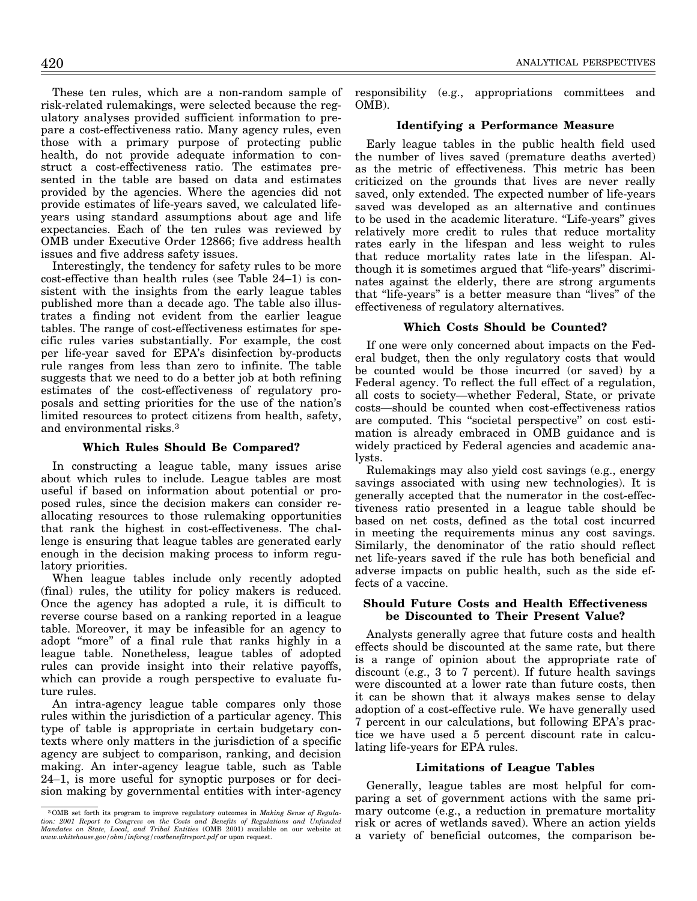These ten rules, which are a non-random sample of risk-related rulemakings, were selected because the regulatory analyses provided sufficient information to prepare a cost-effectiveness ratio. Many agency rules, even those with a primary purpose of protecting public health, do not provide adequate information to construct a cost-effectiveness ratio. The estimates presented in the table are based on data and estimates provided by the agencies. Where the agencies did not provide estimates of life-years saved, we calculated lifeyears using standard assumptions about age and life expectancies. Each of the ten rules was reviewed by OMB under Executive Order 12866; five address health issues and five address safety issues.

Interestingly, the tendency for safety rules to be more cost-effective than health rules (see Table 24–1) is consistent with the insights from the early league tables published more than a decade ago. The table also illustrates a finding not evident from the earlier league tables. The range of cost-effectiveness estimates for specific rules varies substantially. For example, the cost per life-year saved for EPA's disinfection by-products rule ranges from less than zero to infinite. The table suggests that we need to do a better job at both refining estimates of the cost-effectiveness of regulatory proposals and setting priorities for the use of the nation's limited resources to protect citizens from health, safety, and environmental risks.3

### **Which Rules Should Be Compared?**

In constructing a league table, many issues arise about which rules to include. League tables are most useful if based on information about potential or proposed rules, since the decision makers can consider reallocating resources to those rulemaking opportunities that rank the highest in cost-effectiveness. The challenge is ensuring that league tables are generated early enough in the decision making process to inform regulatory priorities.

When league tables include only recently adopted (final) rules, the utility for policy makers is reduced. Once the agency has adopted a rule, it is difficult to reverse course based on a ranking reported in a league table. Moreover, it may be infeasible for an agency to adopt ''more'' of a final rule that ranks highly in a league table. Nonetheless, league tables of adopted rules can provide insight into their relative payoffs, which can provide a rough perspective to evaluate future rules.

An intra-agency league table compares only those rules within the jurisdiction of a particular agency. This type of table is appropriate in certain budgetary contexts where only matters in the jurisdiction of a specific agency are subject to comparison, ranking, and decision making. An inter-agency league table, such as Table 24–1, is more useful for synoptic purposes or for decision making by governmental entities with inter-agency responsibility (e.g., appropriations committees and OMB).

### **Identifying a Performance Measure**

Early league tables in the public health field used the number of lives saved (premature deaths averted) as the metric of effectiveness. This metric has been criticized on the grounds that lives are never really saved, only extended. The expected number of life-years saved was developed as an alternative and continues to be used in the academic literature. "Life-years" gives relatively more credit to rules that reduce mortality rates early in the lifespan and less weight to rules that reduce mortality rates late in the lifespan. Although it is sometimes argued that ''life-years'' discriminates against the elderly, there are strong arguments that "life-years" is a better measure than "lives" of the effectiveness of regulatory alternatives.

#### **Which Costs Should be Counted?**

If one were only concerned about impacts on the Federal budget, then the only regulatory costs that would be counted would be those incurred (or saved) by a Federal agency. To reflect the full effect of a regulation, all costs to society—whether Federal, State, or private costs—should be counted when cost-effectiveness ratios are computed. This ''societal perspective'' on cost estimation is already embraced in OMB guidance and is widely practiced by Federal agencies and academic analysts.

Rulemakings may also yield cost savings (e.g., energy savings associated with using new technologies). It is generally accepted that the numerator in the cost-effectiveness ratio presented in a league table should be based on net costs, defined as the total cost incurred in meeting the requirements minus any cost savings. Similarly, the denominator of the ratio should reflect net life-years saved if the rule has both beneficial and adverse impacts on public health, such as the side effects of a vaccine.

### **Should Future Costs and Health Effectiveness be Discounted to Their Present Value?**

Analysts generally agree that future costs and health effects should be discounted at the same rate, but there is a range of opinion about the appropriate rate of discount (e.g., 3 to 7 percent). If future health savings were discounted at a lower rate than future costs, then it can be shown that it always makes sense to delay adoption of a cost-effective rule. We have generally used 7 percent in our calculations, but following EPA's practice we have used a 5 percent discount rate in calculating life-years for EPA rules.

#### **Limitations of League Tables**

Generally, league tables are most helpful for comparing a set of government actions with the same primary outcome (e.g., a reduction in premature mortality risk or acres of wetlands saved). Where an action yields a variety of beneficial outcomes, the comparison be-

<sup>3</sup> OMB set forth its program to improve regulatory outcomes in *Making Sense of Regula-tion: 2001 Report to Congress on the Costs and Benefits of Regulations and Unfunded Mandates on State, Local, and Tribal Entities* (OMB 2001) available on our website at *www.whitehouse.gov/obm/inforeg/costbenefitreport.pdf* or upon request.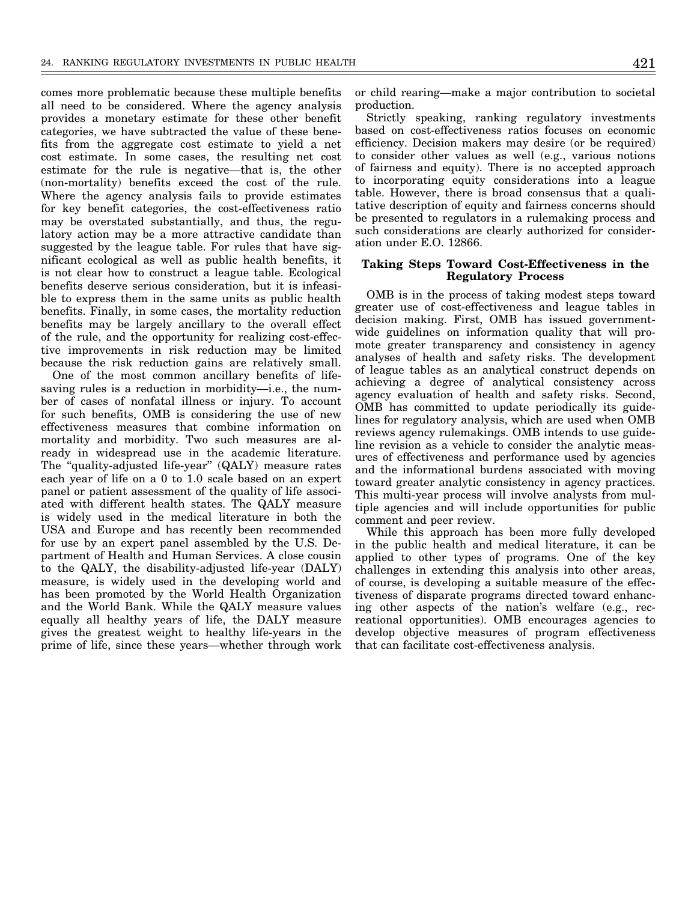comes more problematic because these multiple benefits all need to be considered. Where the agency analysis provides a monetary estimate for these other benefit categories, we have subtracted the value of these benefits from the aggregate cost estimate to yield a net cost estimate. In some cases, the resulting net cost estimate for the rule is negative—that is, the other (non-mortality) benefits exceed the cost of the rule. Where the agency analysis fails to provide estimates for key benefit categories, the cost-effectiveness ratio may be overstated substantially, and thus, the regulatory action may be a more attractive candidate than suggested by the league table. For rules that have significant ecological as well as public health benefits, it is not clear how to construct a league table. Ecological benefits deserve serious consideration, but it is infeasible to express them in the same units as public health benefits. Finally, in some cases, the mortality reduction benefits may be largely ancillary to the overall effect of the rule, and the opportunity for realizing cost-effective improvements in risk reduction may be limited because the risk reduction gains are relatively small.

One of the most common ancillary benefits of lifesaving rules is a reduction in morbidity—i.e., the number of cases of nonfatal illness or injury. To account for such benefits, OMB is considering the use of new effectiveness measures that combine information on mortality and morbidity. Two such measures are already in widespread use in the academic literature. The "quality-adjusted life-year" (QALY) measure rates each year of life on a 0 to 1.0 scale based on an expert panel or patient assessment of the quality of life associated with different health states. The QALY measure is widely used in the medical literature in both the USA and Europe and has recently been recommended for use by an expert panel assembled by the U.S. Department of Health and Human Services. A close cousin to the QALY, the disability-adjusted life-year (DALY) measure, is widely used in the developing world and has been promoted by the World Health Organization and the World Bank. While the QALY measure values equally all healthy years of life, the DALY measure gives the greatest weight to healthy life-years in the prime of life, since these years—whether through work

or child rearing—make a major contribution to societal production.

Strictly speaking, ranking regulatory investments based on cost-effectiveness ratios focuses on economic efficiency. Decision makers may desire (or be required) to consider other values as well (e.g., various notions of fairness and equity). There is no accepted approach to incorporating equity considerations into a league table. However, there is broad consensus that a qualitative description of equity and fairness concerns should be presented to regulators in a rulemaking process and such considerations are clearly authorized for consideration under E.O. 12866.

#### **Taking Steps Toward Cost-Effectiveness in the Regulatory Process**

OMB is in the process of taking modest steps toward greater use of cost-effectiveness and league tables in decision making. First, OMB has issued governmentwide guidelines on information quality that will promote greater transparency and consistency in agency analyses of health and safety risks. The development of league tables as an analytical construct depends on achieving a degree of analytical consistency across agency evaluation of health and safety risks. Second, OMB has committed to update periodically its guidelines for regulatory analysis, which are used when OMB reviews agency rulemakings. OMB intends to use guideline revision as a vehicle to consider the analytic measures of effectiveness and performance used by agencies and the informational burdens associated with moving toward greater analytic consistency in agency practices. This multi-year process will involve analysts from multiple agencies and will include opportunities for public comment and peer review.

While this approach has been more fully developed in the public health and medical literature, it can be applied to other types of programs. One of the key challenges in extending this analysis into other areas, of course, is developing a suitable measure of the effectiveness of disparate programs directed toward enhancing other aspects of the nation's welfare (e.g., recreational opportunities). OMB encourages agencies to develop objective measures of program effectiveness that can facilitate cost-effectiveness analysis.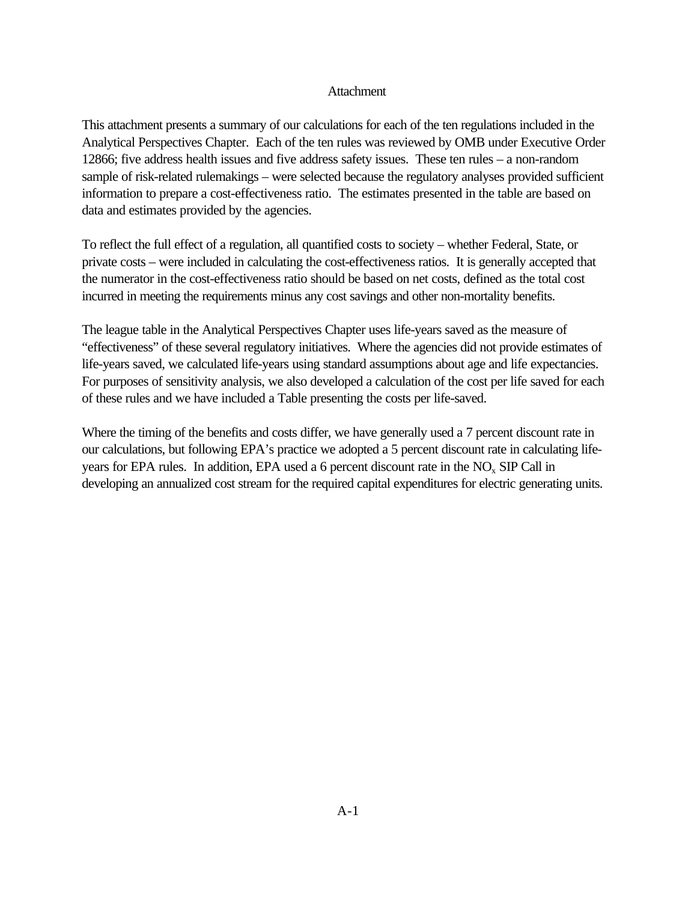# Attachment

This attachment presents a summary of our calculations for each of the ten regulations included in the Analytical Perspectives Chapter. Each of the ten rules was reviewed by OMB under Executive Order 12866; five address health issues and five address safety issues. These ten rules – a non-random sample of risk-related rulemakings – were selected because the regulatory analyses provided sufficient information to prepare a cost-effectiveness ratio. The estimates presented in the table are based on data and estimates provided by the agencies.

To reflect the full effect of a regulation, all quantified costs to society – whether Federal, State, or private costs – were included in calculating the cost-effectiveness ratios. It is generally accepted that the numerator in the cost-effectiveness ratio should be based on net costs, defined as the total cost incurred in meeting the requirements minus any cost savings and other non-mortality benefits.

The league table in the Analytical Perspectives Chapter uses life-years saved as the measure of "effectiveness" of these several regulatory initiatives. Where the agencies did not provide estimates of life-years saved, we calculated life-years using standard assumptions about age and life expectancies. For purposes of sensitivity analysis, we also developed a calculation of the cost per life saved for each of these rules and we have included a Table presenting the costs per life-saved.

Where the timing of the benefits and costs differ, we have generally used a 7 percent discount rate in our calculations, but following EPA's practice we adopted a 5 percent discount rate in calculating lifeyears for EPA rules. In addition, EPA used a 6 percent discount rate in the  $NO<sub>x</sub>$  SIP Call in developing an annualized cost stream for the required capital expenditures for electric generating units.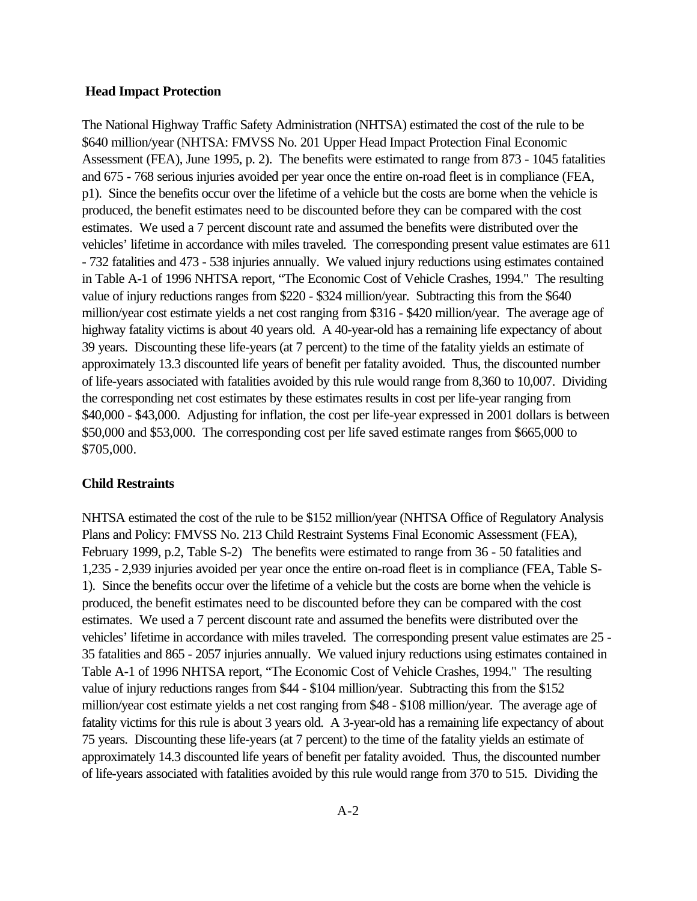### **Head Impact Protection**

The National Highway Traffic Safety Administration (NHTSA) estimated the cost of the rule to be \$640 million/year (NHTSA: FMVSS No. 201 Upper Head Impact Protection Final Economic Assessment (FEA), June 1995, p. 2). The benefits were estimated to range from 873 - 1045 fatalities and 675 - 768 serious injuries avoided per year once the entire on-road fleet is in compliance (FEA, p1). Since the benefits occur over the lifetime of a vehicle but the costs are borne when the vehicle is produced, the benefit estimates need to be discounted before they can be compared with the cost estimates. We used a 7 percent discount rate and assumed the benefits were distributed over the vehicles' lifetime in accordance with miles traveled. The corresponding present value estimates are 611 - 732 fatalities and 473 - 538 injuries annually. We valued injury reductions using estimates contained in Table A-1 of 1996 NHTSA report, "The Economic Cost of Vehicle Crashes, 1994." The resulting value of injury reductions ranges from \$220 - \$324 million/year. Subtracting this from the \$640 million/year cost estimate yields a net cost ranging from \$316 - \$420 million/year. The average age of highway fatality victims is about 40 years old. A 40-year-old has a remaining life expectancy of about 39 years. Discounting these life-years (at 7 percent) to the time of the fatality yields an estimate of approximately 13.3 discounted life years of benefit per fatality avoided. Thus, the discounted number of life-years associated with fatalities avoided by this rule would range from 8,360 to 10,007. Dividing the corresponding net cost estimates by these estimates results in cost per life-year ranging from \$40,000 - \$43,000. Adjusting for inflation, the cost per life-year expressed in 2001 dollars is between \$50,000 and \$53,000. The corresponding cost per life saved estimate ranges from \$665,000 to \$705,000.

### **Child Restraints**

NHTSA estimated the cost of the rule to be \$152 million/year (NHTSA Office of Regulatory Analysis Plans and Policy: FMVSS No. 213 Child Restraint Systems Final Economic Assessment (FEA), February 1999, p.2, Table S-2) The benefits were estimated to range from 36 - 50 fatalities and 1,235 - 2,939 injuries avoided per year once the entire on-road fleet is in compliance (FEA, Table S-1). Since the benefits occur over the lifetime of a vehicle but the costs are borne when the vehicle is produced, the benefit estimates need to be discounted before they can be compared with the cost estimates. We used a 7 percent discount rate and assumed the benefits were distributed over the vehicles' lifetime in accordance with miles traveled. The corresponding present value estimates are 25 - 35 fatalities and 865 - 2057 injuries annually. We valued injury reductions using estimates contained in Table A-1 of 1996 NHTSA report, "The Economic Cost of Vehicle Crashes, 1994." The resulting value of injury reductions ranges from \$44 - \$104 million/year. Subtracting this from the \$152 million/year cost estimate yields a net cost ranging from \$48 - \$108 million/year. The average age of fatality victims for this rule is about 3 years old. A 3-year-old has a remaining life expectancy of about 75 years. Discounting these life-years (at 7 percent) to the time of the fatality yields an estimate of approximately 14.3 discounted life years of benefit per fatality avoided. Thus, the discounted number of life-years associated with fatalities avoided by this rule would range from 370 to 515. Dividing the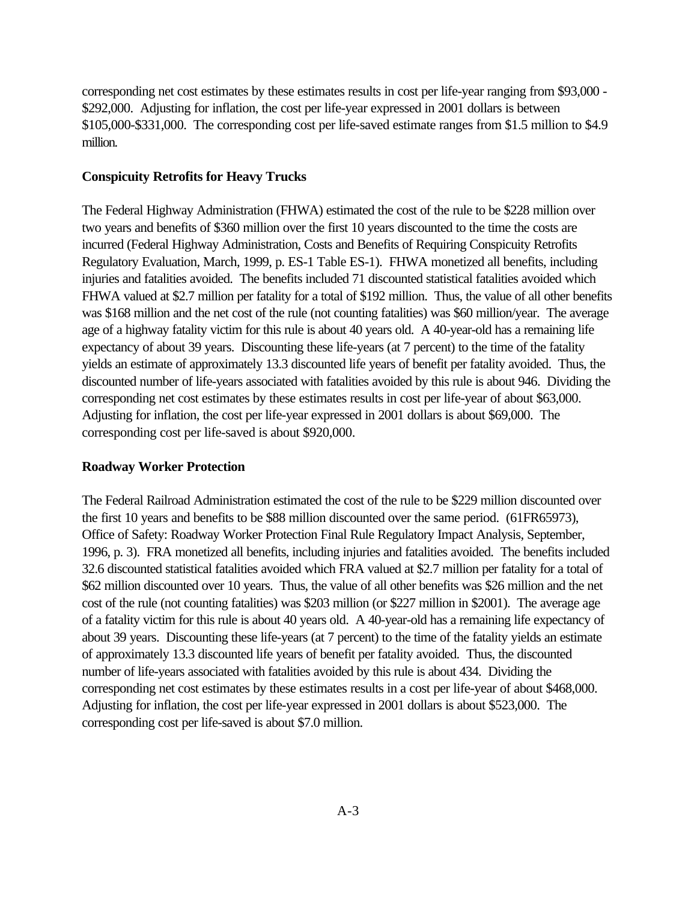corresponding net cost estimates by these estimates results in cost per life-year ranging from \$93,000 - \$292,000. Adjusting for inflation, the cost per life-year expressed in 2001 dollars is between \$105,000-\$331,000. The corresponding cost per life-saved estimate ranges from \$1.5 million to \$4.9 million.

# **Conspicuity Retrofits for Heavy Trucks**

The Federal Highway Administration (FHWA) estimated the cost of the rule to be \$228 million over two years and benefits of \$360 million over the first 10 years discounted to the time the costs are incurred (Federal Highway Administration, Costs and Benefits of Requiring Conspicuity Retrofits Regulatory Evaluation, March, 1999, p. ES-1 Table ES-1). FHWA monetized all benefits, including injuries and fatalities avoided. The benefits included 71 discounted statistical fatalities avoided which FHWA valued at \$2.7 million per fatality for a total of \$192 million. Thus, the value of all other benefits was \$168 million and the net cost of the rule (not counting fatalities) was \$60 million/year. The average age of a highway fatality victim for this rule is about 40 years old. A 40-year-old has a remaining life expectancy of about 39 years. Discounting these life-years (at 7 percent) to the time of the fatality yields an estimate of approximately 13.3 discounted life years of benefit per fatality avoided. Thus, the discounted number of life-years associated with fatalities avoided by this rule is about 946. Dividing the corresponding net cost estimates by these estimates results in cost per life-year of about \$63,000. Adjusting for inflation, the cost per life-year expressed in 2001 dollars is about \$69,000. The corresponding cost per life-saved is about \$920,000.

### **Roadway Worker Protection**

The Federal Railroad Administration estimated the cost of the rule to be \$229 million discounted over the first 10 years and benefits to be \$88 million discounted over the same period. (61FR65973), Office of Safety: Roadway Worker Protection Final Rule Regulatory Impact Analysis, September, 1996, p. 3). FRA monetized all benefits, including injuries and fatalities avoided. The benefits included 32.6 discounted statistical fatalities avoided which FRA valued at \$2.7 million per fatality for a total of \$62 million discounted over 10 years. Thus, the value of all other benefits was \$26 million and the net cost of the rule (not counting fatalities) was \$203 million (or \$227 million in \$2001). The average age of a fatality victim for this rule is about 40 years old. A 40-year-old has a remaining life expectancy of about 39 years. Discounting these life-years (at 7 percent) to the time of the fatality yields an estimate of approximately 13.3 discounted life years of benefit per fatality avoided. Thus, the discounted number of life-years associated with fatalities avoided by this rule is about 434. Dividing the corresponding net cost estimates by these estimates results in a cost per life-year of about \$468,000. Adjusting for inflation, the cost per life-year expressed in 2001 dollars is about \$523,000. The corresponding cost per life-saved is about \$7.0 million.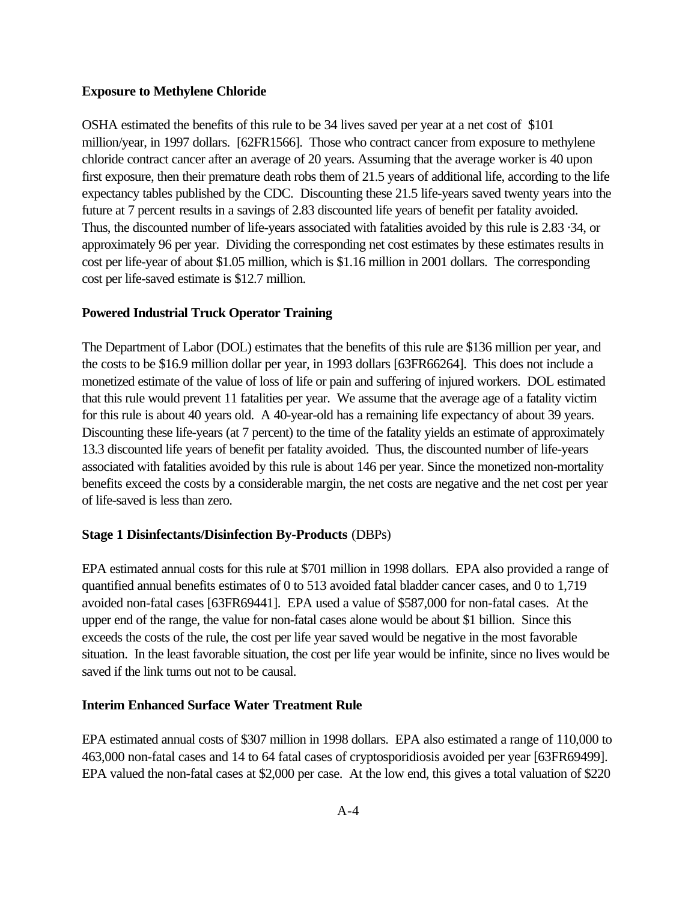# **Exposure to Methylene Chloride**

OSHA estimated the benefits of this rule to be 34 lives saved per year at a net cost of \$101 million/year, in 1997 dollars. [62FR1566]. Those who contract cancer from exposure to methylene chloride contract cancer after an average of 20 years. Assuming that the average worker is 40 upon first exposure, then their premature death robs them of 21.5 years of additional life, according to the life expectancy tables published by the CDC. Discounting these 21.5 life-years saved twenty years into the future at 7 percent results in a savings of 2.83 discounted life years of benefit per fatality avoided. Thus, the discounted number of life-years associated with fatalities avoided by this rule is 2.83 ·34, or approximately 96 per year. Dividing the corresponding net cost estimates by these estimates results in cost per life-year of about \$1.05 million, which is \$1.16 million in 2001 dollars. The corresponding cost per life-saved estimate is \$12.7 million.

# **Powered Industrial Truck Operator Training**

The Department of Labor (DOL) estimates that the benefits of this rule are \$136 million per year, and the costs to be \$16.9 million dollar per year, in 1993 dollars [63FR66264]. This does not include a monetized estimate of the value of loss of life or pain and suffering of injured workers. DOL estimated that this rule would prevent 11 fatalities per year. We assume that the average age of a fatality victim for this rule is about 40 years old. A 40-year-old has a remaining life expectancy of about 39 years. Discounting these life-years (at 7 percent) to the time of the fatality yields an estimate of approximately 13.3 discounted life years of benefit per fatality avoided. Thus, the discounted number of life-years associated with fatalities avoided by this rule is about 146 per year. Since the monetized non-mortality benefits exceed the costs by a considerable margin, the net costs are negative and the net cost per year of life-saved is less than zero.

# **Stage 1 Disinfectants/Disinfection By-Products** (DBPs)

EPA estimated annual costs for this rule at \$701 million in 1998 dollars. EPA also provided a range of quantified annual benefits estimates of 0 to 513 avoided fatal bladder cancer cases, and 0 to 1,719 avoided non-fatal cases [63FR69441]. EPA used a value of \$587,000 for non-fatal cases. At the upper end of the range, the value for non-fatal cases alone would be about \$1 billion. Since this exceeds the costs of the rule, the cost per life year saved would be negative in the most favorable situation. In the least favorable situation, the cost per life year would be infinite, since no lives would be saved if the link turns out not to be causal.

# **Interim Enhanced Surface Water Treatment Rule**

EPA estimated annual costs of \$307 million in 1998 dollars. EPA also estimated a range of 110,000 to 463,000 non-fatal cases and 14 to 64 fatal cases of cryptosporidiosis avoided per year [63FR69499]. EPA valued the non-fatal cases at \$2,000 per case. At the low end, this gives a total valuation of \$220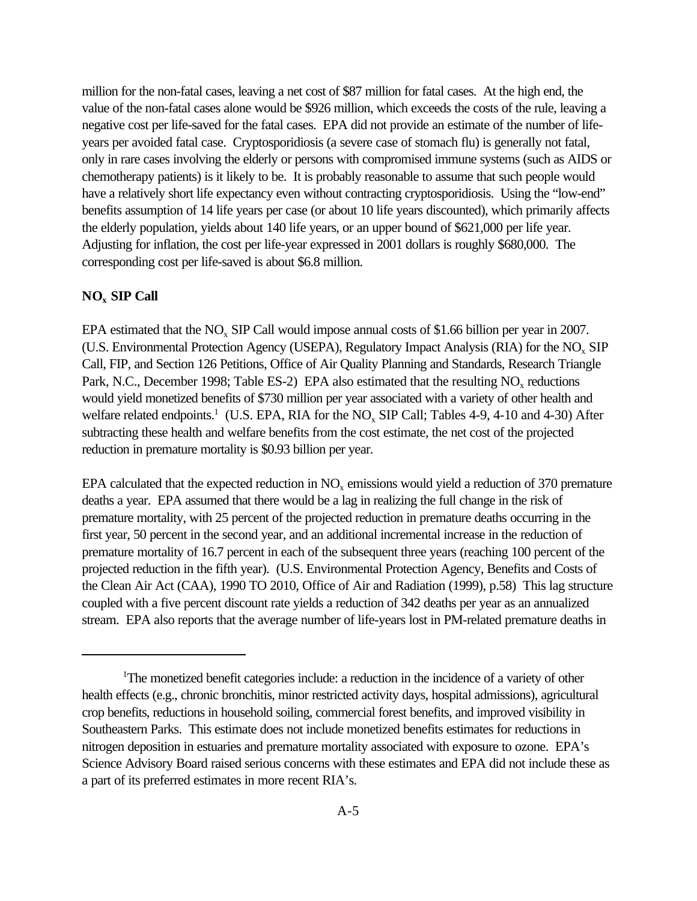million for the non-fatal cases, leaving a net cost of \$87 million for fatal cases. At the high end, the value of the non-fatal cases alone would be \$926 million, which exceeds the costs of the rule, leaving a negative cost per life-saved for the fatal cases. EPA did not provide an estimate of the number of lifeyears per avoided fatal case. Cryptosporidiosis (a severe case of stomach flu) is generally not fatal, only in rare cases involving the elderly or persons with compromised immune systems (such as AIDS or chemotherapy patients) is it likely to be. It is probably reasonable to assume that such people would have a relatively short life expectancy even without contracting cryptosporidiosis. Using the "low-end" benefits assumption of 14 life years per case (or about 10 life years discounted), which primarily affects the elderly population, yields about 140 life years, or an upper bound of \$621,000 per life year. Adjusting for inflation, the cost per life-year expressed in 2001 dollars is roughly \$680,000. The corresponding cost per life-saved is about \$6.8 million.

# **NOx SIP Call**

EPA estimated that the  $NO<sub>x</sub>$  SIP Call would impose annual costs of \$1.66 billion per year in 2007. (U.S. Environmental Protection Agency (USEPA), Regulatory Impact Analysis (RIA) for the NO<sub>x</sub> SIP Call, FIP, and Section 126 Petitions, Office of Air Quality Planning and Standards, Research Triangle Park, N.C., December 1998; Table ES-2) EPA also estimated that the resulting  $NO<sub>x</sub>$  reductions would yield monetized benefits of \$730 million per year associated with a variety of other health and welfare related endpoints.<sup>1</sup> (U.S. EPA, RIA for the NO<sub>x</sub> SIP Call; Tables 4-9, 4-10 and 4-30) After subtracting these health and welfare benefits from the cost estimate, the net cost of the projected reduction in premature mortality is \$0.93 billion per year.

EPA calculated that the expected reduction in  $NO<sub>x</sub>$  emissions would yield a reduction of 370 premature deaths a year. EPA assumed that there would be a lag in realizing the full change in the risk of premature mortality, with 25 percent of the projected reduction in premature deaths occurring in the first year, 50 percent in the second year, and an additional incremental increase in the reduction of premature mortality of 16.7 percent in each of the subsequent three years (reaching 100 percent of the projected reduction in the fifth year). (U.S. Environmental Protection Agency, Benefits and Costs of the Clean Air Act (CAA), 1990 TO 2010, Office of Air and Radiation (1999), p.58) This lag structure coupled with a five percent discount rate yields a reduction of 342 deaths per year as an annualized stream. EPA also reports that the average number of life-years lost in PM-related premature deaths in

<sup>&</sup>lt;sup>1</sup>The monetized benefit categories include: a reduction in the incidence of a variety of other health effects (e.g., chronic bronchitis, minor restricted activity days, hospital admissions), agricultural crop benefits, reductions in household soiling, commercial forest benefits, and improved visibility in Southeastern Parks. This estimate does not include monetized benefits estimates for reductions in nitrogen deposition in estuaries and premature mortality associated with exposure to ozone. EPA's Science Advisory Board raised serious concerns with these estimates and EPA did not include these as a part of its preferred estimates in more recent RIA's.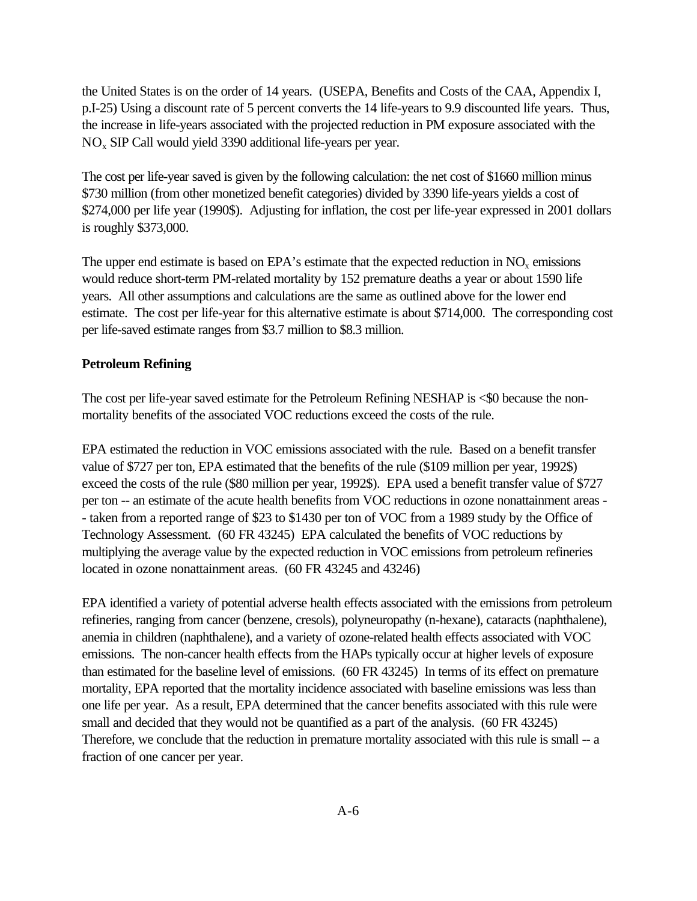the United States is on the order of 14 years. (USEPA, Benefits and Costs of the CAA, Appendix I, p.I-25) Using a discount rate of 5 percent converts the 14 life-years to 9.9 discounted life years. Thus, the increase in life-years associated with the projected reduction in PM exposure associated with the NOx SIP Call would yield 3390 additional life-years per year.

The cost per life-year saved is given by the following calculation: the net cost of \$1660 million minus \$730 million (from other monetized benefit categories) divided by 3390 life-years yields a cost of \$274,000 per life year (1990\$). Adjusting for inflation, the cost per life-year expressed in 2001 dollars is roughly \$373,000.

The upper end estimate is based on EPA's estimate that the expected reduction in  $NO<sub>x</sub>$  emissions would reduce short-term PM-related mortality by 152 premature deaths a year or about 1590 life years. All other assumptions and calculations are the same as outlined above for the lower end estimate. The cost per life-year for this alternative estimate is about \$714,000. The corresponding cost per life-saved estimate ranges from \$3.7 million to \$8.3 million.

# **Petroleum Refining**

The cost per life-year saved estimate for the Petroleum Refining NESHAP is <\$0 because the nonmortality benefits of the associated VOC reductions exceed the costs of the rule.

EPA estimated the reduction in VOC emissions associated with the rule. Based on a benefit transfer value of \$727 per ton, EPA estimated that the benefits of the rule (\$109 million per year, 1992\$) exceed the costs of the rule (\$80 million per year, 1992\$). EPA used a benefit transfer value of \$727 per ton -- an estimate of the acute health benefits from VOC reductions in ozone nonattainment areas - - taken from a reported range of \$23 to \$1430 per ton of VOC from a 1989 study by the Office of Technology Assessment. (60 FR 43245) EPA calculated the benefits of VOC reductions by multiplying the average value by the expected reduction in VOC emissions from petroleum refineries located in ozone nonattainment areas. (60 FR 43245 and 43246)

EPA identified a variety of potential adverse health effects associated with the emissions from petroleum refineries, ranging from cancer (benzene, cresols), polyneuropathy (n-hexane), cataracts (naphthalene), anemia in children (naphthalene), and a variety of ozone-related health effects associated with VOC emissions. The non-cancer health effects from the HAPs typically occur at higher levels of exposure than estimated for the baseline level of emissions. (60 FR 43245) In terms of its effect on premature mortality, EPA reported that the mortality incidence associated with baseline emissions was less than one life per year. As a result, EPA determined that the cancer benefits associated with this rule were small and decided that they would not be quantified as a part of the analysis. (60 FR 43245) Therefore, we conclude that the reduction in premature mortality associated with this rule is small -- a fraction of one cancer per year.